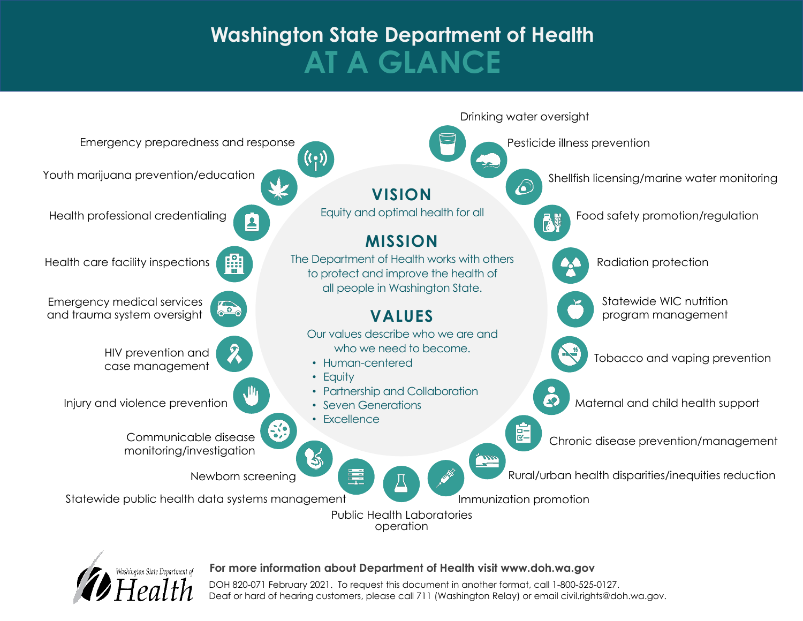# **Washington State Department of Health AT A GLANCE**





#### **For more information about Department of Health visit www.doh.wa.gov**

DOH 820-071 February 2021. To request this document in another format, call 1-800-525-0127. Deaf or hard of hearing customers, please call 711 (Washington Relay) or email civil.rights@doh.wa.gov.